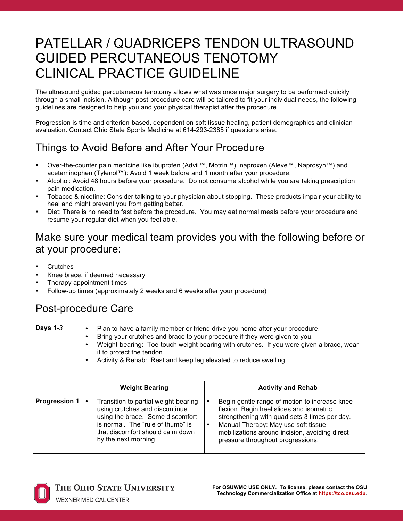# PATELLAR / QUADRICEPS TENDON ULTRASOUND GUIDED PERCUTANEOUS TENOTOMY CLINICAL PRACTICE GUIDELINE

The ultrasound guided percutaneous tenotomy allows what was once major surgery to be performed quickly through a small incision. Although post-procedure care will be tailored to fit your individual needs, the following guidelines are designed to help you and your physical therapist after the procedure.

Progression is time and criterion-based, dependent on soft tissue healing, patient demographics and clinician evaluation. Contact Ohio State Sports Medicine at 614-293-2385 if questions arise.

## Things to Avoid Before and After Your Procedure

- Over-the-counter pain medicine like ibuprofen (Advil™, Motrin™), naproxen (Aleve™, Naprosyn™) and acetaminophen (Tylenol™): Avoid 1 week before and 1 month after your procedure.
- Alcohol: Avoid 48 hours before your procedure. Do not consume alcohol while you are taking prescription pain medication.
- Tobacco & nicotine: Consider talking to your physician about stopping. These products impair your ability to heal and might prevent you from getting better.
- Diet: There is no need to fast before the procedure. You may eat normal meals before your procedure and resume your regular diet when you feel able.

### Make sure your medical team provides you with the following before or at your procedure:

- **Crutches**
- Knee brace, if deemed necessary
- Therapy appointment times
- Follow-up times (approximately 2 weeks and 6 weeks after your procedure)

### Post-procedure Care

- **Days 1-3** Plan to have a family member or friend drive you home after your procedure.
	- Bring your crutches and brace to your procedure if they were given to you.
	- Weight-bearing: Toe-touch weight bearing with crutches. If you were given a brace, wear it to protect the tendon.
	- Activity & Rehab: Rest and keep leg elevated to reduce swelling.

|                      | <b>Weight Bearing</b>                                                                                                                                                                                       | <b>Activity and Rehab</b>                                                                                                                                                                                                                                                |
|----------------------|-------------------------------------------------------------------------------------------------------------------------------------------------------------------------------------------------------------|--------------------------------------------------------------------------------------------------------------------------------------------------------------------------------------------------------------------------------------------------------------------------|
| <b>Progression 1</b> | Transition to partial weight-bearing<br>using crutches and discontinue<br>using the brace. Some discomfort<br>is normal. The "rule of thumb" is<br>that discomfort should calm down<br>by the next morning. | Begin gentle range of motion to increase knee<br>flexion. Begin heel slides and isometric<br>strengthening with quad sets 3 times per day.<br>Manual Therapy: May use soft tissue<br>mobilizations around incision, avoiding direct<br>pressure throughout progressions. |



THE OHIO STATE UNIVERSITY

**For OSUWMC USE ONLY. To license, please contact the OSU Technology Commercialization Office at https://tco.osu.edu**.